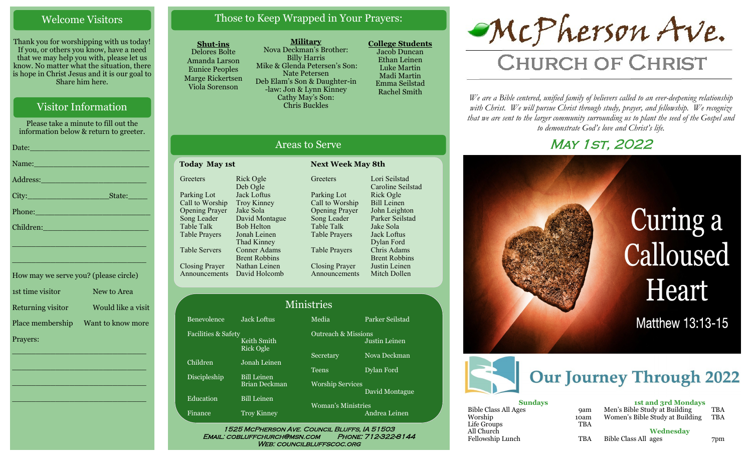## Welcome Visitors

Thank you for worshipping with us today! If you, or others you know, have a need that we may help you with, please let us know. No matter what the situation, there is hope in Christ Jesus and it is our goal to Share him here.

# Visitor Information

Please take a minute to fill out the information below & return to greeter.

| Name: Name and the second contract of the second contract of the second contract of the second contract of the  |
|-----------------------------------------------------------------------------------------------------------------|
|                                                                                                                 |
|                                                                                                                 |
| Phone: New York Contract of the Contract of the Contract of the Contract of the Contract of the Contract of the |
| Children: 2008 - 2008 - 2008 - 2019 - 2019 - 2019 - 2019 - 2019 - 2019 - 2019 - 2019 - 2019 - 2019 - 2019 - 20  |
| <u> 1989 - Johann Barn, mars et al. (b. 1989)</u>                                                               |
| the contract of the contract of the contract of the contract of the contract of the contract of the contract of |
|                                                                                                                 |

| How may we serve you? (please circle) |                    |
|---------------------------------------|--------------------|
| 1st time visitor                      | New to Area        |
| Returning visitor                     | Would like a visit |
| Place membership                      | Want to know more  |
| Prayers:                              |                    |

\_\_\_\_\_\_\_\_\_\_\_\_\_\_\_\_\_\_\_\_\_\_\_\_\_\_\_\_

\_\_\_\_\_\_\_\_\_\_\_\_\_\_\_\_\_\_\_\_\_\_\_\_\_\_\_\_

\_\_\_\_\_\_\_\_\_\_\_\_\_\_\_\_\_\_\_\_\_\_\_\_\_\_\_\_

\_\_\_\_\_\_\_\_\_\_\_\_\_\_\_\_\_\_\_\_\_\_\_\_\_\_\_\_

# Those to Keep Wrapped in Your Prayers:

#### **Shut-ins**

Delores Bolte Amanda Larson Eunice Peoples Marge Rickertsen Viola Sorenson

**Military** Nova Deckman's Brother: Billy Harris Mike & Glenda Petersen's Son: Nate Petersen Deb Elam's Son & Daughter-in -law: Jon & Lynn Kinney Cathy May's Son: Chris Buckles

**College Students**  Jacob Duncan Ethan Leinen Luke Martin Madi Martin Emma Seilstad Rachel Smith

# McPherson Ave.

# **CHURCH OF CHRIST**

*We are a Bible centered, unified family of believers called to an ever-deepening relationship*  with Christ. We will pursue Christ through study, prayer, and fellowship. We recognize *that we are sent to the larger community surrounding us to plant the seed of the Gospel and to demonstrate God's love and Christ's life.*

# **MAY 1ST, 2022**



| ___                         |            |                                 |            |
|-----------------------------|------------|---------------------------------|------------|
| <b>Sundays</b>              |            | <b>1st and 3rd Mondays</b>      |            |
| <b>Bible Class All Ages</b> | <b>9am</b> | Men's Bible Study at Building   | TBA        |
| Worship                     | 10am       | Women's Bible Study at Building | <b>TBA</b> |
| Life Groups                 | <b>TBA</b> |                                 |            |
| All Church                  |            | Wednesdav                       |            |
| Fellowship Lunch            | <b>TBA</b> | Bible Class All ages            | 7pm        |
|                             |            |                                 |            |

# Areas to Serve

#### **Today May 1st Next Week May 8th Greeters** Parking Lot Call to Worship Opening Prayer Song Leader Table Talk Table Prayers Table Servers Closing Prayer Announcements David Holcomb Rick Ogle Deb Ogle Jack Loftus Troy Kinney Jake Sola Bob Helton Jonah Leinen Thad Kinney Conner Adams Brent Robbins Nathan Leinen

David Montague **Greeters** Parking Lot Call to Worship Opening Prayer Song Leader Table Talk Table Prayers Table Prayers Closing Prayer Announcements

#### Lori Seilstad Caroline Seilstad Rick Ogle Bill Leinen John Leighton Parker Seilstad Jake Sola Jack Loftus Dylan Ford Chris Adams Brent Robbins Justin Leinen Mitch Dollen

Justin Leinen

David Montague

#### Benevolence Jack Loftus Media Parker Seilstad Ministries

Facilities & Safety Keith Smith Rick Ogle Children Jonah Leinen

Discipleship Bill Leinen

Education Bill Leinen

Finance Troy Kinney

Brian Deckman Worship Services

Woman's Ministries Andrea Leinen

Outreach & Missions

Secretary Nova Deckman

Teens Dylan Ford

1525 McPherson Ave. Council Bluffs, IA 51503 Email: cobluffchurch@msn.com Phone: 712-322-8144 WEB: COUNCILBLUFFSCOC.ORG